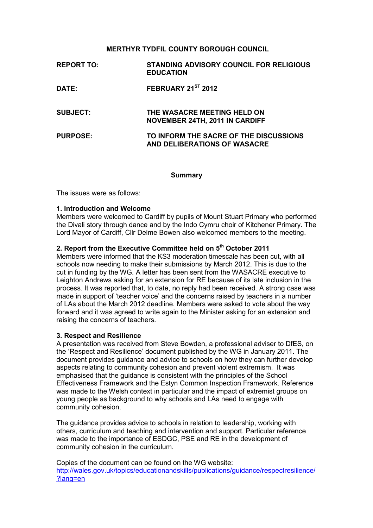## MERTHYR TYDFIL COUNTY BOROUGH COUNCIL

| <b>REPORT TO:</b> | STANDING ADVISORY COUNCIL FOR RELIGIOUS<br><b>EDUCATION</b>            |
|-------------------|------------------------------------------------------------------------|
| DATE:             | FEBRUARY 21 <sup>ST</sup> 2012                                         |
| <b>SUBJECT:</b>   | THE WASACRE MEETING HELD ON<br><b>NOVEMBER 24TH, 2011 IN CARDIFF</b>   |
| <b>PURPOSE:</b>   | TO INFORM THE SACRE OF THE DISCUSSIONS<br>AND DELIBERATIONS OF WASACRE |

#### **Summary**

The issues were as follows:

### 1. Introduction and Welcome

Members were welcomed to Cardiff by pupils of Mount Stuart Primary who performed the Divali story through dance and by the Indo Cymru choir of Kitchener Primary. The Lord Mayor of Cardiff, Cllr Delme Bowen also welcomed members to the meeting.

### 2. Report from the Executive Committee held on 5<sup>th</sup> October 2011

Members were informed that the KS3 moderation timescale has been cut, with all schools now needing to make their submissions by March 2012. This is due to the cut in funding by the WG. A letter has been sent from the WASACRE executive to Leighton Andrews asking for an extension for RE because of its late inclusion in the process. It was reported that, to date, no reply had been received. A strong case was made in support of 'teacher voice' and the concerns raised by teachers in a number of LAs about the March 2012 deadline. Members were asked to vote about the way forward and it was agreed to write again to the Minister asking for an extension and raising the concerns of teachers.

#### 3. Respect and Resilience

A presentation was received from Steve Bowden, a professional adviser to DfES, on the 'Respect and Resilience' document published by the WG in January 2011. The document provides guidance and advice to schools on how they can further develop aspects relating to community cohesion and prevent violent extremism. It was emphasised that the guidance is consistent with the principles of the School Effectiveness Framework and the Estyn Common Inspection Framework. Reference was made to the Welsh context in particular and the impact of extremist groups on young people as background to why schools and LAs need to engage with community cohesion.

The guidance provides advice to schools in relation to leadership, working with others, curriculum and teaching and intervention and support. Particular reference was made to the importance of ESDGC, PSE and RE in the development of community cohesion in the curriculum.

Copies of the document can be found on the WG website: http://wales.gov.uk/topics/educationandskills/publications/guidance/respectresilience/ ?lang=en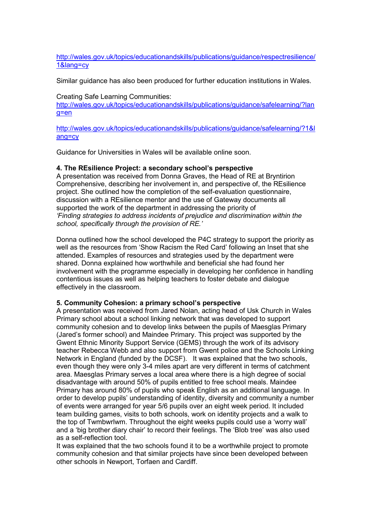http://wales.gov.uk/topics/educationandskills/publications/guidance/respectresilience/ 1&lang=cy

Similar guidance has also been produced for further education institutions in Wales.

### Creating Safe Learning Communities:

http://wales.gov.uk/topics/educationandskills/publications/guidance/safelearning/?lan g=en

http://wales.gov.uk/topics/educationandskills/publications/guidance/safelearning/?1&l ang=cy

Guidance for Universities in Wales will be available online soon.

### 4. The REsilience Project: a secondary school's perspective

A presentation was received from Donna Graves, the Head of RE at Bryntirion Comprehensive, describing her involvement in, and perspective of, the REsilience project. She outlined how the completion of the self-evaluation questionnaire, discussion with a REsilience mentor and the use of Gateway documents all supported the work of the department in addressing the priority of 'Finding strategies to address incidents of prejudice and discrimination within the school, specifically through the provision of RE.'

Donna outlined how the school developed the P4C strategy to support the priority as well as the resources from 'Show Racism the Red Card' following an Inset that she attended. Examples of resources and strategies used by the department were shared. Donna explained how worthwhile and beneficial she had found her involvement with the programme especially in developing her confidence in handling contentious issues as well as helping teachers to foster debate and dialogue effectively in the classroom.

## 5. Community Cohesion: a primary school's perspective

A presentation was received from Jared Nolan, acting head of Usk Church in Wales Primary school about a school linking network that was developed to support community cohesion and to develop links between the pupils of Maesglas Primary (Jared's former school) and Maindee Primary. This project was supported by the Gwent Ethnic Minority Support Service (GEMS) through the work of its advisory teacher Rebecca Webb and also support from Gwent police and the Schools Linking Network in England (funded by the DCSF). It was explained that the two schools, even though they were only 3-4 miles apart are very different in terms of catchment area. Maesglas Primary serves a local area where there is a high degree of social disadvantage with around 50% of pupils entitled to free school meals. Maindee Primary has around 80% of pupils who speak English as an additional language. In order to develop pupils' understanding of identity, diversity and community a number of events were arranged for year 5/6 pupils over an eight week period. It included team building games, visits to both schools, work on identity projects and a walk to the top of Twmbwrlwm. Throughout the eight weeks pupils could use a 'worry wall' and a 'big brother diary chair' to record their feelings. The 'Blob tree' was also used as a self-reflection tool.

It was explained that the two schools found it to be a worthwhile project to promote community cohesion and that similar projects have since been developed between other schools in Newport, Torfaen and Cardiff.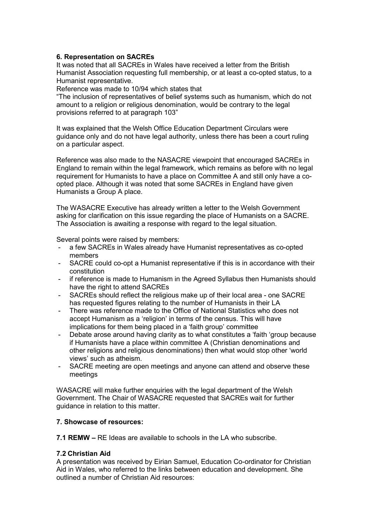## 6. Representation on SACREs

It was noted that all SACREs in Wales have received a letter from the British Humanist Association requesting full membership, or at least a co-opted status, to a Humanist representative.

Reference was made to 10/94 which states that

"The inclusion of representatives of belief systems such as humanism, which do not amount to a religion or religious denomination, would be contrary to the legal provisions referred to at paragraph 103"

It was explained that the Welsh Office Education Department Circulars were guidance only and do not have legal authority, unless there has been a court ruling on a particular aspect.

Reference was also made to the NASACRE viewpoint that encouraged SACREs in England to remain within the legal framework, which remains as before with no legal requirement for Humanists to have a place on Committee A and still only have a coopted place. Although it was noted that some SACREs in England have given Humanists a Group A place.

The WASACRE Executive has already written a letter to the Welsh Government asking for clarification on this issue regarding the place of Humanists on a SACRE. The Association is awaiting a response with regard to the legal situation.

Several points were raised by members:

- a few SACREs in Wales already have Humanist representatives as co-opted members
- SACRE could co-opt a Humanist representative if this is in accordance with their constitution
- if reference is made to Humanism in the Agreed Syllabus then Humanists should have the right to attend SACREs
- SACREs should reflect the religious make up of their local area one SACRE has requested figures relating to the number of Humanists in their LA
- There was reference made to the Office of National Statistics who does not accept Humanism as a 'religion' in terms of the census. This will have implications for them being placed in a 'faith group' committee
- Debate arose around having clarity as to what constitutes a 'faith 'group because if Humanists have a place within committee A (Christian denominations and other religions and religious denominations) then what would stop other 'world views' such as atheism.
- SACRE meeting are open meetings and anyone can attend and observe these meetings

WASACRE will make further enquiries with the legal department of the Welsh Government. The Chair of WASACRE requested that SACREs wait for further guidance in relation to this matter.

## 7. Showcase of resources:

7.1 REMW – RE Ideas are available to schools in the LA who subscribe.

## 7.2 Christian Aid

A presentation was received by Eirian Samuel, Education Co-ordinator for Christian Aid in Wales, who referred to the links between education and development. She outlined a number of Christian Aid resources: